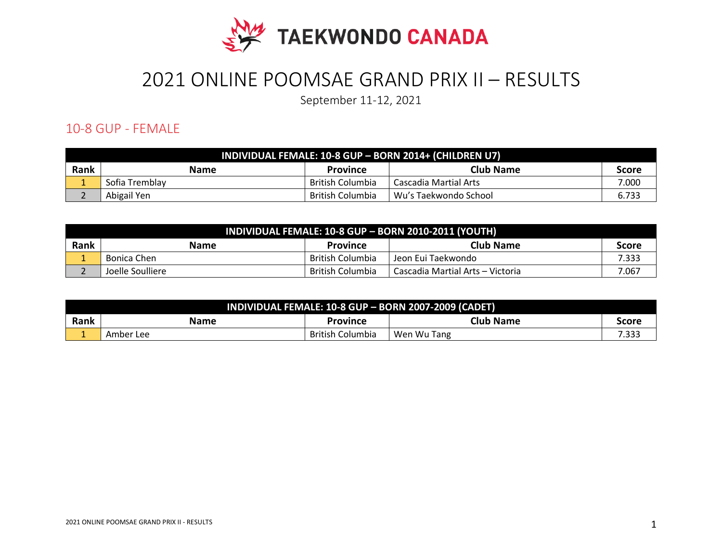

# 2021 ONLINE POOMSAE GRAND PRIX II – RESULTS

September 11-12, 2021

#### 10-8 GUP - FEMALE

| <b>INDIVIDUAL FEMALE: 10-8 GUP - BORN 2014+ (CHILDREN U7)</b> |                |                  |                         |              |
|---------------------------------------------------------------|----------------|------------------|-------------------------|--------------|
| Rank                                                          | <b>Name</b>    | <b>Province</b>  | Club Name               | <b>Score</b> |
|                                                               | Sofia Tremblay | British Columbia | Cascadia Martial Arts   | 7.000        |
|                                                               | Abigail Yen    | British Columbia | l Wu's Taekwondo School | 6.733        |

| INDIVIDUAL FEMALE: 10-8 GUP - BORN 2010-2011 (YOUTH) |                  |                  |                                  |              |
|------------------------------------------------------|------------------|------------------|----------------------------------|--------------|
| Rank                                                 | <b>Name</b>      | <b>Province</b>  | Club Name                        | <b>Score</b> |
|                                                      | Bonica Chen      | British Columbia | Jeon Eui Taekwondo               | 7.333        |
|                                                      | Joelle Soulliere | British Columbia | Cascadia Martial Arts – Victoria | 7.067        |

| INDIVIDUAL FEMALE: 10-8 GUP - BORN 2007-2009 (CADET) |           |                  |                  |                |
|------------------------------------------------------|-----------|------------------|------------------|----------------|
| Rank                                                 | Name      | Province         | <b>Club Name</b> | Score          |
| -                                                    | Amber Lee | British Columbia | Wen Wu Tang      | ່າາາ<br>כככ. י |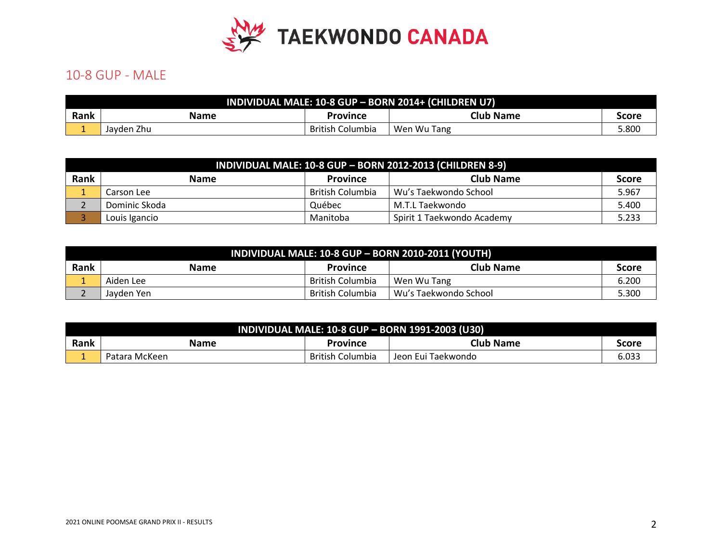

### 10-8 GUP - MALE

| INDIVIDUAL MALE: 10-8 GUP - BORN 2014+ (CHILDREN U7) |            |                  |                  |       |
|------------------------------------------------------|------------|------------------|------------------|-------|
| Rank                                                 | Name       | Province         | <b>Club Name</b> | Score |
|                                                      | Javden Zhu | British Columbia | Wen Wu Tang      | 800.، |

|      | <b>INDIVIDUAL MALE: 10-8 GUP - BORN 2012-2013 (CHILDREN 8-9)</b> |                  |                            |              |  |
|------|------------------------------------------------------------------|------------------|----------------------------|--------------|--|
| Rank | <b>Name</b>                                                      | <b>Province</b>  | <b>Club Name</b>           | <b>Score</b> |  |
|      | Carson Lee                                                       | British Columbia | Wu's Taekwondo School      | 5.967        |  |
|      | Dominic Skoda                                                    | Québec           | M.T.L Taekwondo            | 5.400        |  |
|      | Louis Igancio                                                    | Manitoba         | Spirit 1 Taekwondo Academy | 5.233        |  |

|      | INDIVIDUAL MALE: 10-8 GUP - BORN 2010-2011 (YOUTH) |                  |                       |       |  |
|------|----------------------------------------------------|------------------|-----------------------|-------|--|
| Rank | <b>Name</b>                                        | <b>Province</b>  | <b>Club Name</b>      | Score |  |
|      | Aiden Lee                                          | British Columbia | Wen Wu Tang           | 6.200 |  |
|      | Javden Yen                                         | British Columbia | Wu's Taekwondo School | 5.300 |  |

| INDIVIDUAL MALE: 10-8 GUP - BORN 1991-2003 (U30) |               |                         |                    |       |
|--------------------------------------------------|---------------|-------------------------|--------------------|-------|
| Rank                                             | <b>Name</b>   | Province                | <b>Club Name</b>   | Score |
|                                                  | Patara McKeen | <b>British Columbia</b> | Jeon Eui Taekwondo | 6.033 |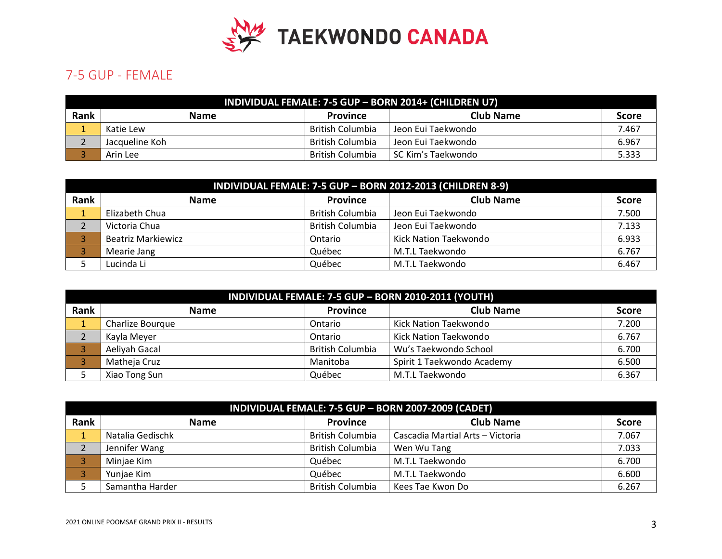

## 7-5 GUP - FEMALE

|      | INDIVIDUAL FEMALE: 7-5 GUP - BORN 2014+ (CHILDREN U7) |                  |                    |       |  |
|------|-------------------------------------------------------|------------------|--------------------|-------|--|
| Rank | <b>Club Name</b><br><b>Name</b><br><b>Province</b>    |                  |                    |       |  |
|      | Katie Lew                                             | British Columbia | Jeon Eui Taekwondo | 7.467 |  |
|      | Jacqueline Koh                                        | British Columbia | Jeon Eui Taekwondo | 6.967 |  |
|      | Arin Lee                                              | British Columbia | SC Kim's Taekwondo | 5.333 |  |

|      | INDIVIDUAL FEMALE: 7-5 GUP - BORN 2012-2013 (CHILDREN 8-9) |                         |                       |              |  |
|------|------------------------------------------------------------|-------------------------|-----------------------|--------------|--|
| Rank | <b>Name</b>                                                | Province                | <b>Club Name</b>      | <b>Score</b> |  |
|      | Elizabeth Chua                                             | <b>British Columbia</b> | Jeon Eui Taekwondo    | 7.500        |  |
|      | Victoria Chua                                              | <b>British Columbia</b> | Jeon Eui Taekwondo    | 7.133        |  |
|      | Beatriz Markiewicz                                         | Ontario                 | Kick Nation Taekwondo | 6.933        |  |
|      | Mearie Jang                                                | Québec                  | M.T.L Taekwondo       | 6.767        |  |
|      | Lucinda Li                                                 | Québec                  | M.T.L Taekwondo       | 6.467        |  |

|      | INDIVIDUAL FEMALE: 7-5 GUP - BORN 2010-2011 (YOUTH) |                         |                            |              |  |
|------|-----------------------------------------------------|-------------------------|----------------------------|--------------|--|
| Rank | <b>Name</b>                                         | <b>Province</b>         | <b>Club Name</b>           | <b>Score</b> |  |
|      | Charlize Bourque                                    | Ontario                 | Kick Nation Taekwondo      | 7.200        |  |
|      | Kayla Meyer                                         | Ontario                 | Kick Nation Taekwondo      | 6.767        |  |
|      | Aeliyah Gacal                                       | <b>British Columbia</b> | Wu's Taekwondo School      | 6.700        |  |
|      | Matheja Cruz                                        | Manitoba                | Spirit 1 Taekwondo Academy | 6.500        |  |
|      | Xiao Tong Sun                                       | Québec                  | M.T.L Taekwondo            | 6.367        |  |

| INDIVIDUAL FEMALE: 7-5 GUP - BORN 2007-2009 (CADET) |                  |                         |                                  |              |
|-----------------------------------------------------|------------------|-------------------------|----------------------------------|--------------|
| Rank                                                | <b>Name</b>      | <b>Province</b>         | <b>Club Name</b>                 | <b>Score</b> |
|                                                     | Natalia Gedischk | <b>British Columbia</b> | Cascadia Martial Arts - Victoria | 7.067        |
|                                                     | Jennifer Wang    | <b>British Columbia</b> | Wen Wu Tang                      | 7.033        |
|                                                     | Minjae Kim       | Québec                  | M.T.L Taekwondo                  | 6.700        |
|                                                     | Yunjae Kim       | Québec                  | M.T.L Taekwondo                  | 6.600        |
|                                                     | Samantha Harder  | <b>British Columbia</b> | Kees Tae Kwon Do                 | 6.267        |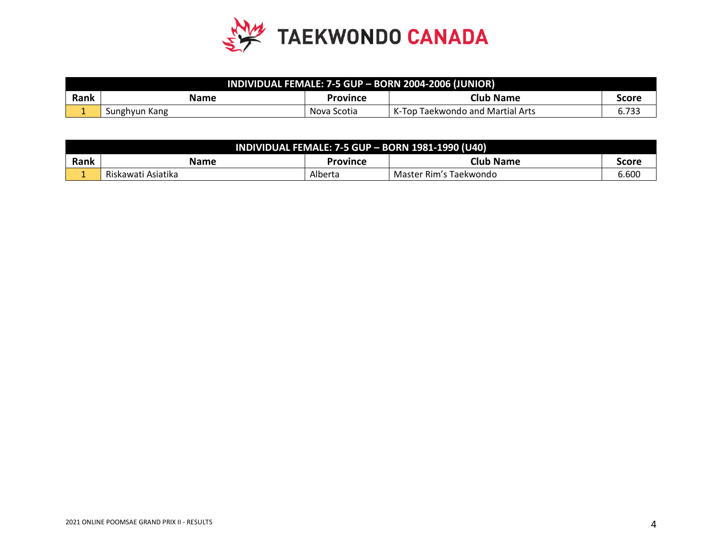

| INDIVIDUAL FEMALE: 7-5 GUP - BORN 2004-2006 (JUNIOR) |               |             |                                  |       |
|------------------------------------------------------|---------------|-------------|----------------------------------|-------|
| <b>Rank</b>                                          | Name          | Province    | <b>Club Name</b>                 | Score |
|                                                      | Sunghyun Kang | Nova Scotia | K-Top Taekwondo and Martial Arts |       |

| <b>INDIVIDUAL FEMALE: 7-5 GUP - BORN 1981-1990 (U40)</b> |                    |          |                        |       |
|----------------------------------------------------------|--------------------|----------|------------------------|-------|
| Rank                                                     | Name               | Province | <b>Club Name</b>       | score |
|                                                          | Riskawati Asiatika | Alberta  | Master Rim's Taekwondo | 6.60C |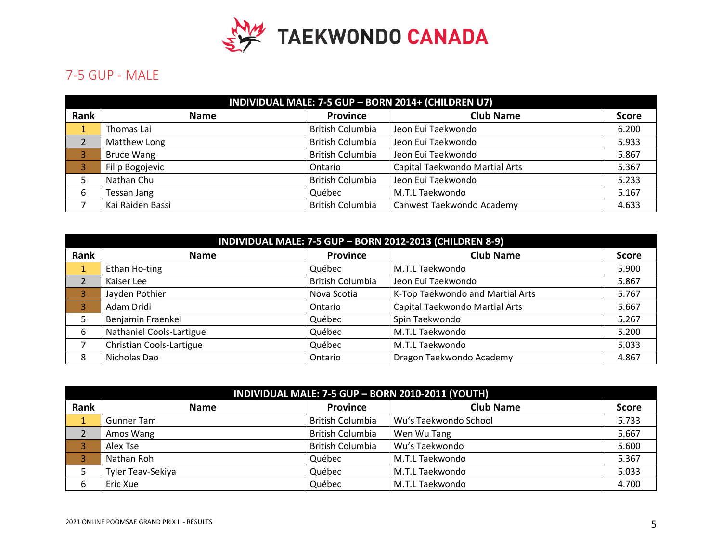

# 7-5 GUP - MALE

|      | INDIVIDUAL MALE: 7-5 GUP - BORN 2014+ (CHILDREN U7) |                         |                                |              |  |
|------|-----------------------------------------------------|-------------------------|--------------------------------|--------------|--|
| Rank | <b>Name</b>                                         | Province                | <b>Club Name</b>               | <b>Score</b> |  |
| ш.   | Thomas Lai                                          | <b>British Columbia</b> | Jeon Eui Taekwondo             | 6.200        |  |
| 2    | Matthew Long                                        | <b>British Columbia</b> | Jeon Eui Taekwondo             | 5.933        |  |
|      | <b>Bruce Wang</b>                                   | <b>British Columbia</b> | Jeon Eui Taekwondo             | 5.867        |  |
|      | Filip Bogojevic                                     | Ontario                 | Capital Taekwondo Martial Arts | 5.367        |  |
|      | Nathan Chu                                          | <b>British Columbia</b> | Jeon Eui Taekwondo             | 5.233        |  |
| 6    | Tessan Jang                                         | Québec                  | M.T.L Taekwondo                | 5.167        |  |
|      | Kai Raiden Bassi                                    | <b>British Columbia</b> | Canwest Taekwondo Academy      | 4.633        |  |

|                         | INDIVIDUAL MALE: 7-5 GUP - BORN 2012-2013 (CHILDREN 8-9) |                         |                                  |              |  |
|-------------------------|----------------------------------------------------------|-------------------------|----------------------------------|--------------|--|
| Rank                    | <b>Name</b>                                              | <b>Province</b>         | <b>Club Name</b>                 | <b>Score</b> |  |
| $\mathbf{1}$            | Ethan Ho-ting                                            | Québec                  | M.T.L Taekwondo                  | 5.900        |  |
| $\overline{2}$          | Kaiser Lee                                               | <b>British Columbia</b> | Jeon Eui Taekwondo               | 5.867        |  |
| $\overline{\mathbf{3}}$ | Jayden Pothier                                           | Nova Scotia             | K-Top Taekwondo and Martial Arts | 5.767        |  |
| 3                       | Adam Dridi                                               | Ontario                 | Capital Taekwondo Martial Arts   | 5.667        |  |
| 5                       | Benjamin Fraenkel                                        | Québec                  | Spin Taekwondo                   | 5.267        |  |
| 6                       | Nathaniel Cools-Lartigue                                 | Québec                  | M.T.L Taekwondo                  | 5.200        |  |
|                         | Christian Cools-Lartigue                                 | Québec                  | M.T.L Taekwondo                  | 5.033        |  |
| 8                       | Nicholas Dao                                             | Ontario                 | Dragon Taekwondo Academy         | 4.867        |  |

|      | INDIVIDUAL MALE: 7-5 GUP - BORN 2010-2011 (YOUTH) |                         |                       |              |  |
|------|---------------------------------------------------|-------------------------|-----------------------|--------------|--|
| Rank | <b>Name</b>                                       | <b>Province</b>         | <b>Club Name</b>      | <b>Score</b> |  |
|      | <b>Gunner Tam</b>                                 | <b>British Columbia</b> | Wu's Taekwondo School | 5.733        |  |
|      | Amos Wang                                         | <b>British Columbia</b> | Wen Wu Tang           | 5.667        |  |
|      | Alex Tse                                          | <b>British Columbia</b> | Wu's Taekwondo        | 5.600        |  |
|      | Nathan Roh                                        | Québec                  | M.T.L Taekwondo       | 5.367        |  |
|      | Tyler Teav-Sekiya                                 | Québec                  | M.T.L Taekwondo       | 5.033        |  |
| 6    | Eric Xue                                          | Québec                  | M.T.L Taekwondo       | 4.700        |  |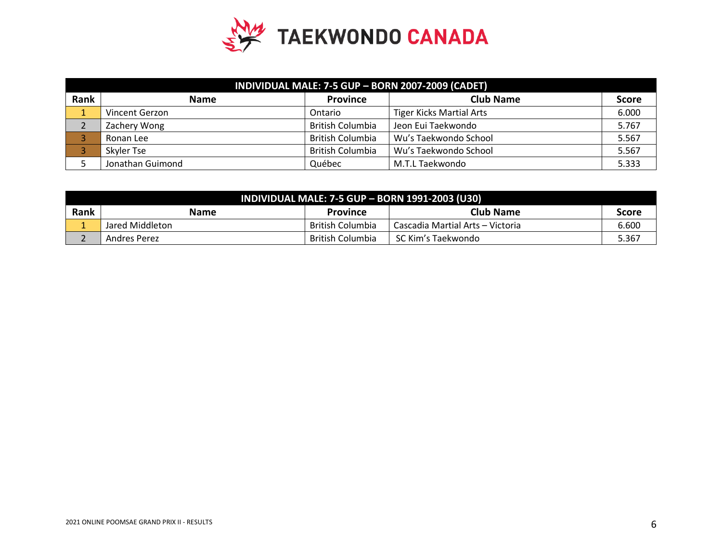

| INDIVIDUAL MALE: 7-5 GUP - BORN 2007-2009 (CADET) |                  |                         |                                 |              |
|---------------------------------------------------|------------------|-------------------------|---------------------------------|--------------|
| Rank                                              | <b>Name</b>      | <b>Province</b>         | <b>Club Name</b>                | <b>Score</b> |
|                                                   | Vincent Gerzon   | Ontario                 | <b>Tiger Kicks Martial Arts</b> | 6.000        |
|                                                   | Zachery Wong     | <b>British Columbia</b> | Jeon Eui Taekwondo              | 5.767        |
|                                                   | Ronan Lee        | <b>British Columbia</b> | Wu's Taekwondo School           | 5.567        |
|                                                   | Skyler Tse       | <b>British Columbia</b> | Wu's Taekwondo School           | 5.567        |
|                                                   | Jonathan Guimond | Québec                  | M.T.L Taekwondo                 | 5.333        |

| <b>INDIVIDUAL MALE: 7-5 GUP - BORN 1991-2003 (U30)</b> |                 |                  |                                    |       |
|--------------------------------------------------------|-----------------|------------------|------------------------------------|-------|
| Rank                                                   | <b>Name</b>     | <b>Province</b>  | <b>Club Name</b>                   | Score |
|                                                        | Jared Middleton | British Columbia | I Cascadia Martial Arts – Victoria | 6.600 |
|                                                        | Andres Perez    | British Columbia | SC Kim's Taekwondo                 | 5.367 |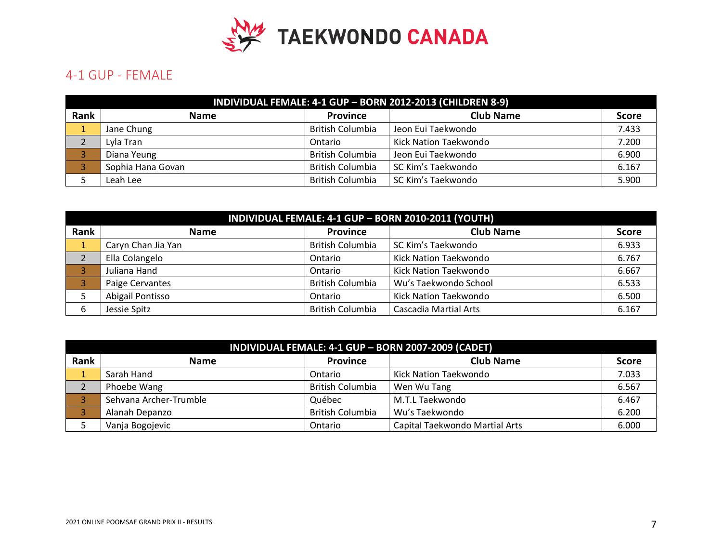

#### 4-1 GUP - FEMALE

|      | INDIVIDUAL FEMALE: 4-1 GUP - BORN 2012-2013 (CHILDREN 8-9) |                         |                       |              |  |
|------|------------------------------------------------------------|-------------------------|-----------------------|--------------|--|
| Rank | <b>Name</b>                                                | <b>Province</b>         | <b>Club Name</b>      | <b>Score</b> |  |
|      | Jane Chung                                                 | <b>British Columbia</b> | Jeon Eui Taekwondo    | 7.433        |  |
|      | Lyla Tran                                                  | Ontario                 | Kick Nation Taekwondo | 7.200        |  |
|      | Diana Yeung                                                | <b>British Columbia</b> | Jeon Eui Taekwondo    | 6.900        |  |
|      | Sophia Hana Govan                                          | <b>British Columbia</b> | SC Kim's Taekwondo    | 6.167        |  |
|      | Leah Lee                                                   | <b>British Columbia</b> | SC Kim's Taekwondo    | 5.900        |  |

|      | INDIVIDUAL FEMALE: 4-1 GUP - BORN 2010-2011 (YOUTH) |                         |                              |              |  |
|------|-----------------------------------------------------|-------------------------|------------------------------|--------------|--|
| Rank | <b>Name</b>                                         | <b>Province</b>         | <b>Club Name</b>             | <b>Score</b> |  |
|      | Caryn Chan Jia Yan                                  | <b>British Columbia</b> | SC Kim's Taekwondo           | 6.933        |  |
|      | Ella Colangelo                                      | Ontario                 | Kick Nation Taekwondo        | 6.767        |  |
|      | Juliana Hand                                        | Ontario                 | Kick Nation Taekwondo        | 6.667        |  |
|      | Paige Cervantes                                     | <b>British Columbia</b> | Wu's Taekwondo School        | 6.533        |  |
|      | Abigail Pontisso                                    | Ontario                 | Kick Nation Taekwondo        | 6.500        |  |
| 6    | Jessie Spitz                                        | <b>British Columbia</b> | <b>Cascadia Martial Arts</b> | 6.167        |  |

|      | INDIVIDUAL FEMALE: 4-1 GUP - BORN 2007-2009 (CADET) |                         |                                |       |  |  |  |
|------|-----------------------------------------------------|-------------------------|--------------------------------|-------|--|--|--|
| Rank | <b>Club Name</b><br><b>Province</b><br><b>Name</b>  |                         |                                |       |  |  |  |
|      | Sarah Hand                                          | Ontario                 | Kick Nation Taekwondo          | 7.033 |  |  |  |
|      | Phoebe Wang                                         | <b>British Columbia</b> | Wen Wu Tang                    | 6.567 |  |  |  |
|      | Sehvana Archer-Trumble                              | Québec                  | M.T.L Taekwondo                | 6.467 |  |  |  |
|      | Alanah Depanzo                                      | <b>British Columbia</b> | Wu's Taekwondo                 | 6.200 |  |  |  |
|      | Vanja Bogojevic                                     | Ontario                 | Capital Taekwondo Martial Arts | 6.000 |  |  |  |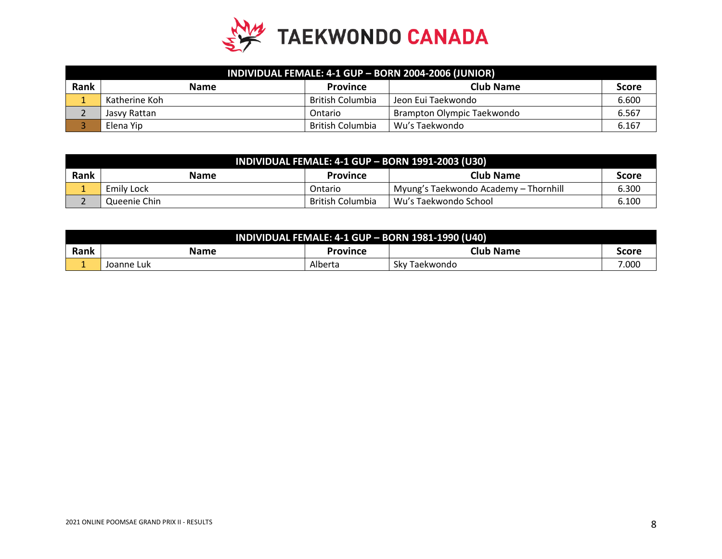

|      | INDIVIDUAL FEMALE: 4-1 GUP - BORN 2004-2006 (JUNIOR) |                         |                            |              |  |
|------|------------------------------------------------------|-------------------------|----------------------------|--------------|--|
| Rank | <b>Name</b>                                          | <b>Province</b>         | <b>Club Name</b>           | <b>Score</b> |  |
|      | Katherine Koh                                        | <b>British Columbia</b> | Jeon Eui Taekwondo         | 6.600        |  |
|      | Jasvy Rattan                                         | Ontario                 | Brampton Olympic Taekwondo | 6.567        |  |
|      | Elena Yip                                            | <b>British Columbia</b> | Wu's Taekwondo             | 6.167        |  |

| <b>INDIVIDUAL FEMALE: 4-1 GUP - BORN 1991-2003 (U30)</b> |              |                  |                                        |              |
|----------------------------------------------------------|--------------|------------------|----------------------------------------|--------------|
| Rank                                                     | <b>Name</b>  | <b>Province</b>  | Club Name                              | <b>Score</b> |
|                                                          | Emily Lock   | Ontario          | 'Myung's Taekwondo Academy – Thornhill | 6.300        |
|                                                          | Queenie Chin | British Columbia | Wu's Taekwondo School                  | 6.100        |

| <b>INDIVIDUAL FEMALE: 4-1 GUP - BORN 1981-1990 (U40)</b> |            |          |                  |       |  |
|----------------------------------------------------------|------------|----------|------------------|-------|--|
| Rank                                                     | Name       | Province | <b>Club Name</b> | Score |  |
|                                                          | Joanne Luk | Alberta  | Skv<br>Taekwondo | 000.' |  |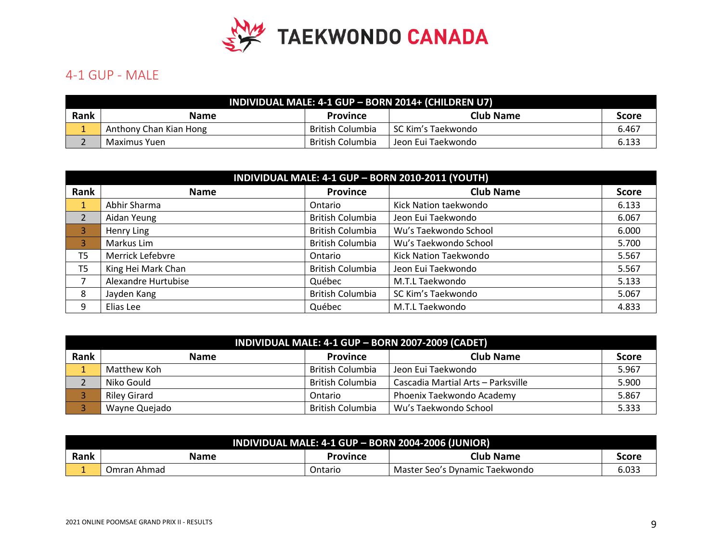

## 4-1 GUP - MALE

|      | INDIVIDUAL MALE: 4-1 GUP - BORN 2014+ (CHILDREN U7) |                  |                      |       |  |  |
|------|-----------------------------------------------------|------------------|----------------------|-------|--|--|
| Rank | <b>Name</b>                                         | <b>Province</b>  | <b>Club Name</b>     | Score |  |  |
|      | Anthony Chan Kian Hong                              | British Columbia | l SC Kim's Taekwondo | 6.467 |  |  |
|      | Maximus Yuen                                        | British Columbia | Jeon Eui Taekwondo   | 6.133 |  |  |

| INDIVIDUAL MALE: 4-1 GUP - BORN 2010-2011 (YOUTH) |                     |                         |                       |              |
|---------------------------------------------------|---------------------|-------------------------|-----------------------|--------------|
| Rank                                              | <b>Name</b>         | <b>Province</b>         | <b>Club Name</b>      | <b>Score</b> |
|                                                   | Abhir Sharma        | Ontario                 | Kick Nation taekwondo | 6.133        |
| $\overline{2}$                                    | Aidan Yeung         | <b>British Columbia</b> | Jeon Eui Taekwondo    | 6.067        |
| 3                                                 | Henry Ling          | <b>British Columbia</b> | Wu's Taekwondo School | 6.000        |
| 3                                                 | Markus Lim          | <b>British Columbia</b> | Wu's Taekwondo School | 5.700        |
| T <sub>5</sub>                                    | Merrick Lefebvre    | Ontario                 | Kick Nation Taekwondo | 5.567        |
| T5                                                | King Hei Mark Chan  | <b>British Columbia</b> | Jeon Eui Taekwondo    | 5.567        |
|                                                   | Alexandre Hurtubise | Québec                  | M.T.L Taekwondo       | 5.133        |
| 8                                                 | Jayden Kang         | <b>British Columbia</b> | SC Kim's Taekwondo    | 5.067        |
| 9                                                 | Elias Lee           | Québec                  | M.T.L Taekwondo       | 4.833        |

| INDIVIDUAL MALE: 4-1 GUP - BORN 2007-2009 (CADET) |                     |                  |                                    |              |
|---------------------------------------------------|---------------------|------------------|------------------------------------|--------------|
| Rank                                              | <b>Name</b>         | <b>Province</b>  | <b>Club Name</b>                   | <b>Score</b> |
|                                                   | Matthew Koh         | British Columbia | Jeon Eui Taekwondo                 | 5.967        |
|                                                   | Niko Gould          | British Columbia | Cascadia Martial Arts - Parksville | 5.900        |
|                                                   | <b>Riley Girard</b> | Ontario          | Phoenix Taekwondo Academy          | 5.867        |
|                                                   | Wayne Quejado       | British Columbia | Wu's Taekwondo School              | 5.333        |

| INDIVIDUAL MALE: 4-1 GUP - BORN 2004-2006 (JUNIOR) |             |                |                                |       |
|----------------------------------------------------|-------------|----------------|--------------------------------|-------|
| Rank                                               | <b>Name</b> | Province       | Club Name                      | score |
|                                                    | Omran Ahmad | <b>Ontario</b> | Master Seo's Dynamic Taekwondo | 6.033 |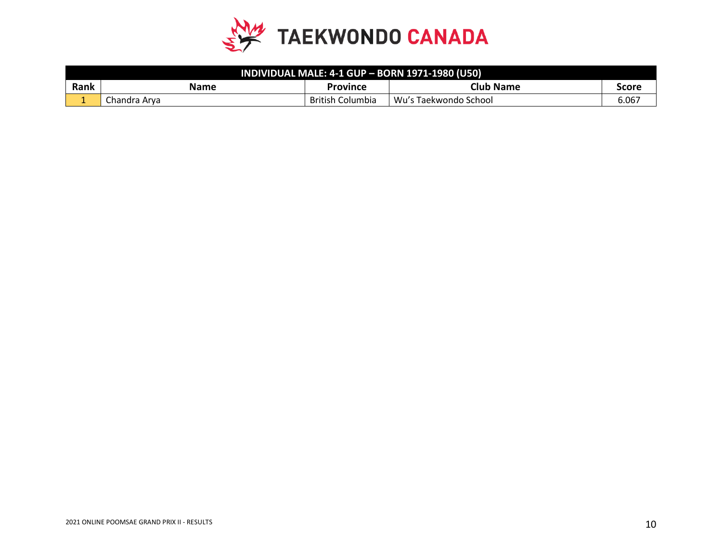

| INDIVIDUAL MALE: 4-1 GUP - BORN 1971-1980 (U50) |              |                         |                       |       |
|-------------------------------------------------|--------------|-------------------------|-----------------------|-------|
| Rank                                            | Name         | Province                | <b>Club Name</b>      | Score |
| -                                               | Chandra Arva | <b>British Columbia</b> | Wu's Taekwondo School | 6.067 |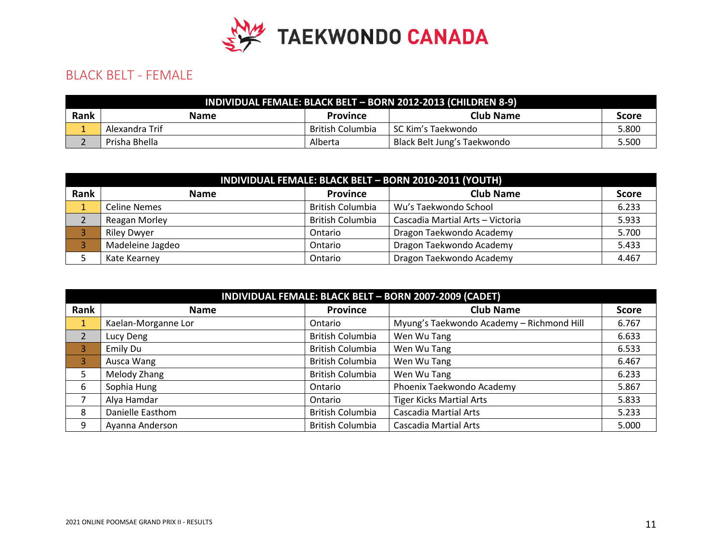

## BLACK BELT - FEMALE

| INDIVIDUAL FEMALE: BLACK BELT - BORN 2012-2013 (CHILDREN 8-9) |                |                  |                             |       |  |
|---------------------------------------------------------------|----------------|------------------|-----------------------------|-------|--|
| Rank                                                          | <b>Name</b>    | <b>Province</b>  | <b>Club Name</b>            | Score |  |
|                                                               | Alexandra Trif | British Columbia | l SC Kim's Taekwondo        | 5.800 |  |
|                                                               | Prisha Bhella  | Alberta          | Black Belt Jung's Taekwondo | 5.500 |  |

|      | INDIVIDUAL FEMALE: BLACK BELT - BORN 2010-2011 (YOUTH) |                         |                                  |              |  |
|------|--------------------------------------------------------|-------------------------|----------------------------------|--------------|--|
| Rank | <b>Name</b>                                            | Province                | <b>Club Name</b>                 | <b>Score</b> |  |
|      | Celine Nemes                                           | <b>British Columbia</b> | Wu's Taekwondo School            | 6.233        |  |
|      | Reagan Morley                                          | <b>British Columbia</b> | Cascadia Martial Arts - Victoria | 5.933        |  |
|      | <b>Riley Dwyer</b>                                     | Ontario                 | Dragon Taekwondo Academy         | 5.700        |  |
|      | Madeleine Jagdeo                                       | Ontario                 | Dragon Taekwondo Academy         | 5.433        |  |
|      | Kate Kearney                                           | Ontario                 | Dragon Taekwondo Academy         | 4.467        |  |

| INDIVIDUAL FEMALE: BLACK BELT - BORN 2007-2009 (CADET) |                     |                         |                                           |              |
|--------------------------------------------------------|---------------------|-------------------------|-------------------------------------------|--------------|
| Rank                                                   | <b>Name</b>         | <b>Province</b>         | <b>Club Name</b>                          | <b>Score</b> |
| U.                                                     | Kaelan-Morganne Lor | Ontario                 | Myung's Taekwondo Academy - Richmond Hill | 6.767        |
| $\overline{2}$                                         | Lucy Deng           | <b>British Columbia</b> | Wen Wu Tang                               | 6.633        |
| $\overline{3}$                                         | Emily Du            | <b>British Columbia</b> | Wen Wu Tang                               | 6.533        |
| $\overline{3}$                                         | Ausca Wang          | <b>British Columbia</b> | Wen Wu Tang                               | 6.467        |
| 5                                                      | Melody Zhang        | <b>British Columbia</b> | Wen Wu Tang                               | 6.233        |
| 6                                                      | Sophia Hung         | Ontario                 | Phoenix Taekwondo Academy                 | 5.867        |
|                                                        | Alya Hamdar         | Ontario                 | <b>Tiger Kicks Martial Arts</b>           | 5.833        |
| 8                                                      | Danielle Easthom    | <b>British Columbia</b> | <b>Cascadia Martial Arts</b>              | 5.233        |
| 9                                                      | Ayanna Anderson     | <b>British Columbia</b> | <b>Cascadia Martial Arts</b>              | 5.000        |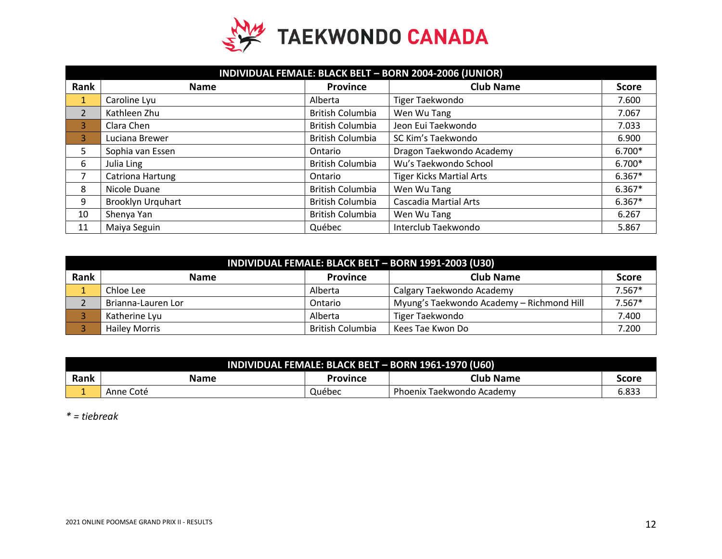

|                | INDIVIDUAL FEMALE: BLACK BELT - BORN 2004-2006 (JUNIOR) |                         |                                 |              |  |
|----------------|---------------------------------------------------------|-------------------------|---------------------------------|--------------|--|
| Rank           | <b>Name</b>                                             | <b>Province</b>         | <b>Club Name</b>                | <b>Score</b> |  |
| $\mathbf{1}$   | Caroline Lyu                                            | Alberta                 | Tiger Taekwondo                 | 7.600        |  |
| $\overline{2}$ | Kathleen Zhu                                            | <b>British Columbia</b> | Wen Wu Tang                     | 7.067        |  |
| 3              | Clara Chen                                              | <b>British Columbia</b> | Jeon Eui Taekwondo              | 7.033        |  |
| 3              | Luciana Brewer                                          | <b>British Columbia</b> | SC Kim's Taekwondo              | 6.900        |  |
| 5              | Sophia van Essen                                        | Ontario                 | Dragon Taekwondo Academy        | 6.700*       |  |
| 6              | Julia Ling                                              | <b>British Columbia</b> | Wu's Taekwondo School           | 6.700*       |  |
|                | Catriona Hartung                                        | Ontario                 | <b>Tiger Kicks Martial Arts</b> | $6.367*$     |  |
| 8              | Nicole Duane                                            | <b>British Columbia</b> | Wen Wu Tang                     | $6.367*$     |  |
| 9              | Brooklyn Urquhart                                       | <b>British Columbia</b> | <b>Cascadia Martial Arts</b>    | $6.367*$     |  |
| 10             | Shenya Yan                                              | <b>British Columbia</b> | Wen Wu Tang                     | 6.267        |  |
| 11             | Maiya Seguin                                            | Québec                  | Interclub Taekwondo             | 5.867        |  |

|      | INDIVIDUAL FEMALE: BLACK BELT - BORN 1991-2003 (U30) |                         |                                           |              |  |
|------|------------------------------------------------------|-------------------------|-------------------------------------------|--------------|--|
| Rank | <b>Name</b>                                          | <b>Province</b>         | <b>Club Name</b>                          | <b>Score</b> |  |
|      | Chloe Lee                                            | Alberta                 | Calgary Taekwondo Academy                 | $7.567*$     |  |
|      | Brianna-Lauren Lor                                   | Ontario                 | Myung's Taekwondo Academy - Richmond Hill | $7.567*$     |  |
|      | Katherine Lyu                                        | Alberta                 | Tiger Taekwondo                           | 7.400        |  |
|      | <b>Hailey Morris</b>                                 | <b>British Columbia</b> | Kees Tae Kwon Do                          | 7.200        |  |

| INDIVIDUAL FEMALE: BLACK BELT - BORN 1961-1970 (U60) |           |          |                           |       |
|------------------------------------------------------|-----------|----------|---------------------------|-------|
| Rank                                                 | Name      | Province | <b>Club Name</b>          | Score |
|                                                      | Anne Coté | Québec   | Phoenix Taekwondo Academy | 6.833 |

*\* = tiebreak*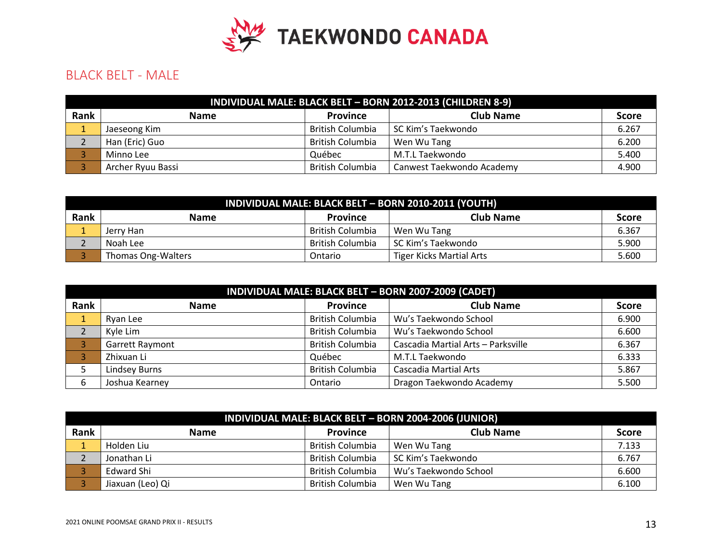

# BLACK BELT - MALE

|             | INDIVIDUAL MALE: BLACK BELT - BORN 2012-2013 (CHILDREN 8-9) |                         |                           |              |  |
|-------------|-------------------------------------------------------------|-------------------------|---------------------------|--------------|--|
| <b>Rank</b> | <b>Name</b>                                                 | <b>Province</b>         | <b>Club Name</b>          | <b>Score</b> |  |
|             | Jaeseong Kim                                                | <b>British Columbia</b> | SC Kim's Taekwondo        | 6.267        |  |
|             | Han (Eric) Guo                                              | <b>British Columbia</b> | Wen Wu Tang               | 6.200        |  |
|             | Minno Lee                                                   | Québec                  | M.T.L Taekwondo           | 5.400        |  |
|             | Archer Ryuu Bassi                                           | <b>British Columbia</b> | Canwest Taekwondo Academy | 4.900        |  |

| INDIVIDUAL MALE: BLACK BELT - BORN 2010-2011 (YOUTH) |                                                    |                  |                                 |       |  |
|------------------------------------------------------|----------------------------------------------------|------------------|---------------------------------|-------|--|
| Rank                                                 | <b>Club Name</b><br><b>Name</b><br><b>Province</b> |                  |                                 |       |  |
|                                                      | Jerry Han                                          | British Columbia | Wen Wu Tang                     | 6.367 |  |
|                                                      | Noah Lee                                           | British Columbia | SC Kim's Taekwondo              | 5.900 |  |
|                                                      | Thomas Ong-Walters                                 | Ontario          | <b>Tiger Kicks Martial Arts</b> | 5.600 |  |

|      | INDIVIDUAL MALE: BLACK BELT - BORN 2007-2009 (CADET) |                         |                                    |              |  |
|------|------------------------------------------------------|-------------------------|------------------------------------|--------------|--|
| Rank | <b>Name</b>                                          | <b>Province</b>         | <b>Club Name</b>                   | <b>Score</b> |  |
|      | Ryan Lee                                             | <b>British Columbia</b> | Wu's Taekwondo School              | 6.900        |  |
|      | Kyle Lim                                             | <b>British Columbia</b> | Wu's Taekwondo School              | 6.600        |  |
|      | <b>Garrett Raymont</b>                               | <b>British Columbia</b> | Cascadia Martial Arts - Parksville | 6.367        |  |
|      | Zhixuan Li                                           | Québec                  | M.T.L Taekwondo                    | 6.333        |  |
|      | <b>Lindsey Burns</b>                                 | <b>British Columbia</b> | <b>Cascadia Martial Arts</b>       | 5.867        |  |
| 6    | Joshua Kearney                                       | Ontario                 | Dragon Taekwondo Academy           | 5.500        |  |

|      | INDIVIDUAL MALE: BLACK BELT - BORN 2004-2006 (JUNIOR) |                         |                       |       |  |  |
|------|-------------------------------------------------------|-------------------------|-----------------------|-------|--|--|
| Rank | <b>Club Name</b><br><b>Province</b><br><b>Name</b>    |                         |                       |       |  |  |
|      | Holden Liu                                            | <b>British Columbia</b> | Wen Wu Tang           | 7.133 |  |  |
|      | Jonathan Li                                           | <b>British Columbia</b> | SC Kim's Taekwondo    | 6.767 |  |  |
|      | Edward Shi                                            | British Columbia        | Wu's Taekwondo School | 6.600 |  |  |
|      | Jiaxuan (Leo) Qi                                      | British Columbia        | Wen Wu Tang           | 6.100 |  |  |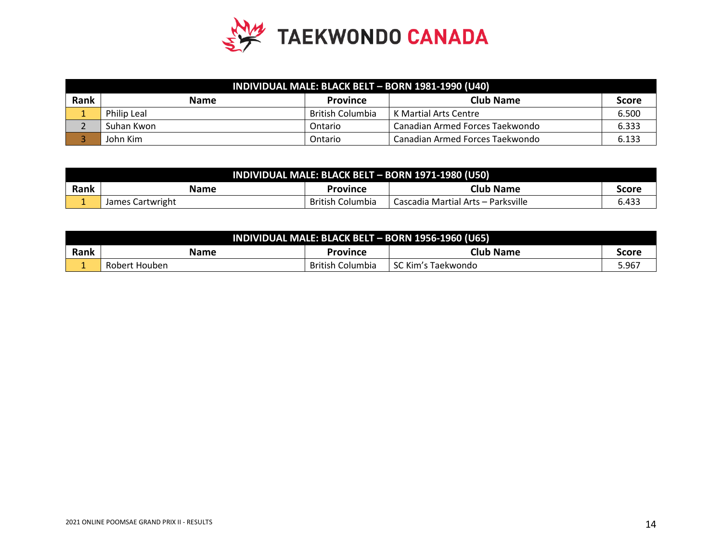

|      | INDIVIDUAL MALE: BLACK BELT - BORN 1981-1990 (U40) |                         |                                 |              |  |
|------|----------------------------------------------------|-------------------------|---------------------------------|--------------|--|
| Rank | <b>Name</b>                                        | <b>Province</b>         | Club Name                       | <b>Score</b> |  |
|      | <b>Philip Leal</b>                                 | <b>British Columbia</b> | K Martial Arts Centre           | 6.500        |  |
|      | Suhan Kwon                                         | Ontario                 | Canadian Armed Forces Taekwondo | 6.333        |  |
|      | John Kim                                           | Ontario                 | Canadian Armed Forces Taekwondo | 6.133        |  |

| INDIVIDUAL MALE: BLACK BELT - BORN 1971-1980 (U50) |                                               |                         |                                    |       |  |
|----------------------------------------------------|-----------------------------------------------|-------------------------|------------------------------------|-------|--|
| Rank                                               | <b>Club Name</b><br>Name<br>Province<br>Score |                         |                                    |       |  |
|                                                    | James Cartwright                              | <b>British Columbia</b> | Cascadia Martial Arts – Parksville | 6.433 |  |

| INDIVIDUAL MALE: BLACK BELT - BORN 1956-1960 (U65) |               |                  |                      |       |
|----------------------------------------------------|---------------|------------------|----------------------|-------|
| Rank                                               | <b>Name</b>   | Province         | <b>Club Name</b>     | Score |
|                                                    | Robert Houben | British Columbia | l SC Kim's Taekwondo | 5.967 |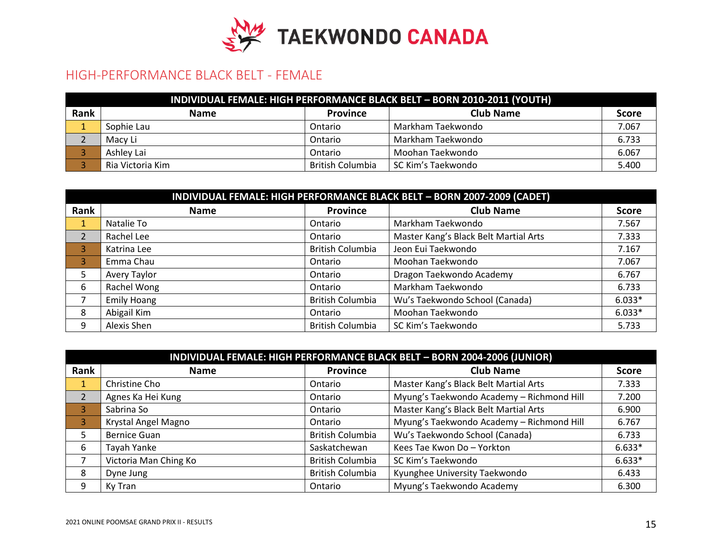

#### HIGH-PERFORMANCE BLACK BELT - FEMALE

|      | INDIVIDUAL FEMALE: HIGH PERFORMANCE BLACK BELT - BORN 2010-2011 (YOUTH) |                         |                    |       |  |  |
|------|-------------------------------------------------------------------------|-------------------------|--------------------|-------|--|--|
| Rank | <b>Name</b>                                                             | <b>Province</b>         | <b>Club Name</b>   | Score |  |  |
|      | Sophie Lau                                                              | Ontario                 | Markham Taekwondo  | 7.067 |  |  |
|      | Macy Li                                                                 | Ontario                 | Markham Taekwondo  | 6.733 |  |  |
|      | Ashley Lai                                                              | Ontario                 | Moohan Taekwondo   | 6.067 |  |  |
|      | Ria Victoria Kim                                                        | <b>British Columbia</b> | SC Kim's Taekwondo | 5.400 |  |  |

|                | INDIVIDUAL FEMALE: HIGH PERFORMANCE BLACK BELT - BORN 2007-2009 (CADET) |                         |                                       |          |  |  |  |
|----------------|-------------------------------------------------------------------------|-------------------------|---------------------------------------|----------|--|--|--|
| Rank           | <b>Club Name</b><br><b>Province</b><br><b>Name</b><br><b>Score</b>      |                         |                                       |          |  |  |  |
|                | Natalie To                                                              | Ontario                 | Markham Taekwondo                     | 7.567    |  |  |  |
| $\overline{2}$ | Rachel Lee                                                              | Ontario                 | Master Kang's Black Belt Martial Arts | 7.333    |  |  |  |
| 3              | Katrina Lee                                                             | <b>British Columbia</b> | Jeon Eui Taekwondo                    | 7.167    |  |  |  |
| 3              | Emma Chau                                                               | Ontario                 | Moohan Taekwondo                      | 7.067    |  |  |  |
| 5.             | Avery Taylor                                                            | Ontario                 | Dragon Taekwondo Academy              | 6.767    |  |  |  |
| 6              | Rachel Wong                                                             | Ontario                 | Markham Taekwondo                     | 6.733    |  |  |  |
|                | <b>Emily Hoang</b>                                                      | <b>British Columbia</b> | Wu's Taekwondo School (Canada)        | $6.033*$ |  |  |  |
| 8              | Abigail Kim                                                             | Ontario                 | Moohan Taekwondo                      | $6.033*$ |  |  |  |
| 9              | Alexis Shen                                                             | <b>British Columbia</b> | SC Kim's Taekwondo                    | 5.733    |  |  |  |

|      | INDIVIDUAL FEMALE: HIGH PERFORMANCE BLACK BELT - BORN 2004-2006 (JUNIOR) |                         |                                           |              |  |  |
|------|--------------------------------------------------------------------------|-------------------------|-------------------------------------------|--------------|--|--|
| Rank | <b>Name</b>                                                              | <b>Province</b>         | <b>Club Name</b>                          | <b>Score</b> |  |  |
| ш.   | Christine Cho                                                            | Ontario                 | Master Kang's Black Belt Martial Arts     | 7.333        |  |  |
|      | Agnes Ka Hei Kung                                                        | Ontario                 | Myung's Taekwondo Academy - Richmond Hill | 7.200        |  |  |
| 3    | Sabrina So                                                               | Ontario                 | Master Kang's Black Belt Martial Arts     | 6.900        |  |  |
| 3    | Krystal Angel Magno                                                      | Ontario                 | Myung's Taekwondo Academy - Richmond Hill | 6.767        |  |  |
|      | <b>Bernice Guan</b>                                                      | <b>British Columbia</b> | Wu's Taekwondo School (Canada)            | 6.733        |  |  |
| 6    | Tayah Yanke                                                              | Saskatchewan            | Kees Tae Kwon Do - Yorkton                | $6.633*$     |  |  |
|      | Victoria Man Ching Ko                                                    | <b>British Columbia</b> | SC Kim's Taekwondo                        | $6.633*$     |  |  |
| 8    | Dyne Jung                                                                | <b>British Columbia</b> | Kyunghee University Taekwondo             | 6.433        |  |  |
| q    | Ky Tran                                                                  | Ontario                 | Myung's Taekwondo Academy                 | 6.300        |  |  |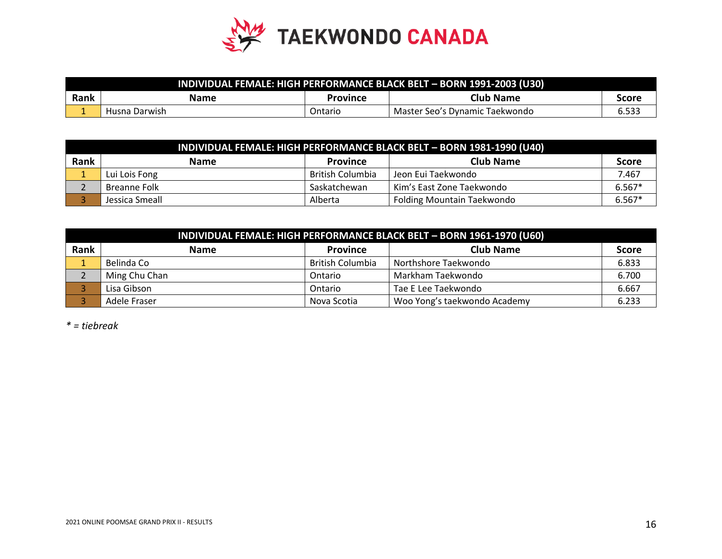

| , INDIVIDUAL FEMALE: HIGH PERFORMANCE BLACK BELT – BORN 1991-2003 (U30) |               |          |                                |       |
|-------------------------------------------------------------------------|---------------|----------|--------------------------------|-------|
| Rank                                                                    | <b>Name</b>   | Province | Club Name                      | Score |
|                                                                         | Husna Darwish | Ontario  | Master Seo's Dynamic Taekwondo | 6.533 |

|      | INDIVIDUAL FEMALE: HIGH PERFORMANCE BLACK BELT - BORN 1981-1990 (U40) |                  |                                   |              |  |
|------|-----------------------------------------------------------------------|------------------|-----------------------------------|--------------|--|
| Rank | <b>Name</b>                                                           | <b>Province</b>  | <b>Club Name</b>                  | <b>Score</b> |  |
|      | Lui Lois Fong                                                         | British Columbia | Jeon Eui Taekwondo                | 7.467        |  |
|      | Breanne Folk                                                          | Saskatchewan     | Kim's East Zone Taekwondo         | $6.567*$     |  |
|      | Jessica Smeall                                                        | Alberta          | <b>Folding Mountain Taekwondo</b> | $6.567*$     |  |

|      | INDIVIDUAL FEMALE: HIGH PERFORMANCE BLACK BELT - BORN 1961-1970 (U60) |                         |                              |              |  |  |
|------|-----------------------------------------------------------------------|-------------------------|------------------------------|--------------|--|--|
| Rank | <b>Name</b>                                                           | <b>Province</b>         | <b>Club Name</b>             | <b>Score</b> |  |  |
|      | Belinda Co                                                            | <b>British Columbia</b> | Northshore Taekwondo         | 6.833        |  |  |
|      | Ming Chu Chan                                                         | Ontario                 | Markham Taekwondo            | 6.700        |  |  |
|      | Lisa Gibson                                                           | Ontario                 | Tae E Lee Taekwondo          | 6.667        |  |  |
|      | Adele Fraser                                                          | Nova Scotia             | Woo Yong's taekwondo Academy | 6.233        |  |  |

*\* = tiebreak*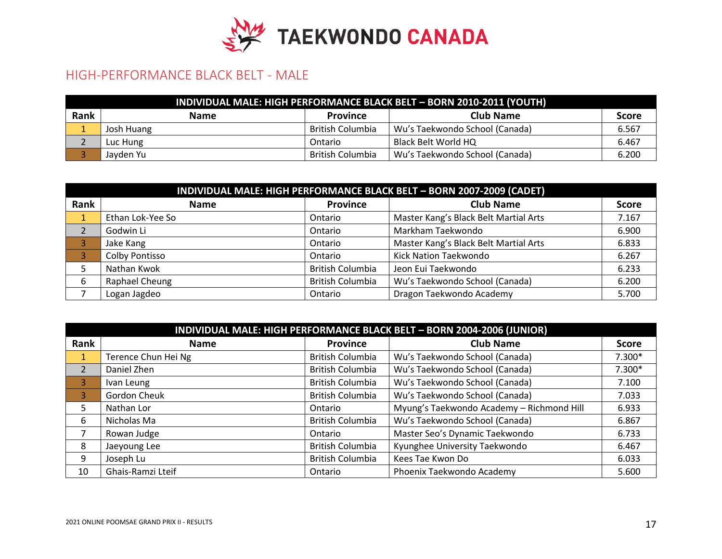

#### HIGH-PERFORMANCE BLACK BELT - MALE

| INDIVIDUAL MALE: HIGH PERFORMANCE BLACK BELT - BORN 2010-2011 (YOUTH) |             |                  |                                |              |  |
|-----------------------------------------------------------------------|-------------|------------------|--------------------------------|--------------|--|
| Rank                                                                  | <b>Name</b> | <b>Province</b>  | <b>Club Name</b>               | <b>Score</b> |  |
|                                                                       | Josh Huang  | British Columbia | Wu's Taekwondo School (Canada) | 6.567        |  |
|                                                                       | Luc Hung    | Ontario          | Black Belt World HQ            | 6.467        |  |
|                                                                       | Jayden Yu   | British Columbia | Wu's Taekwondo School (Canada) | 6.200        |  |

| INDIVIDUAL MALE: HIGH PERFORMANCE BLACK BELT - BORN 2007-2009 (CADET) |                  |                         |                                       |              |  |
|-----------------------------------------------------------------------|------------------|-------------------------|---------------------------------------|--------------|--|
| Rank                                                                  | <b>Name</b>      | <b>Province</b>         | <b>Club Name</b>                      | <b>Score</b> |  |
|                                                                       | Ethan Lok-Yee So | Ontario                 | Master Kang's Black Belt Martial Arts | 7.167        |  |
|                                                                       | Godwin Li        | Ontario                 | Markham Taekwondo                     | 6.900        |  |
|                                                                       | Jake Kang        | Ontario                 | Master Kang's Black Belt Martial Arts | 6.833        |  |
|                                                                       | Colby Pontisso   | Ontario                 | Kick Nation Taekwondo                 | 6.267        |  |
|                                                                       | Nathan Kwok      | <b>British Columbia</b> | Jeon Eui Taekwondo                    | 6.233        |  |
| 6                                                                     | Raphael Cheung   | <b>British Columbia</b> | Wu's Taekwondo School (Canada)        | 6.200        |  |
|                                                                       | Logan Jagdeo     | Ontario                 | Dragon Taekwondo Academy              | 5.700        |  |

| INDIVIDUAL MALE: HIGH PERFORMANCE BLACK BELT - BORN 2004-2006 (JUNIOR) |                     |                         |                                           |              |  |
|------------------------------------------------------------------------|---------------------|-------------------------|-------------------------------------------|--------------|--|
| Rank                                                                   | <b>Name</b>         | <b>Province</b>         | <b>Club Name</b>                          | <b>Score</b> |  |
| 1                                                                      | Terence Chun Hei Ng | <b>British Columbia</b> | Wu's Taekwondo School (Canada)            | 7.300*       |  |
| 2                                                                      | Daniel Zhen         | <b>British Columbia</b> | Wu's Taekwondo School (Canada)            | 7.300*       |  |
| 3                                                                      | Ivan Leung          | <b>British Columbia</b> | Wu's Taekwondo School (Canada)            | 7.100        |  |
| 3                                                                      | Gordon Cheuk        | <b>British Columbia</b> | Wu's Taekwondo School (Canada)            | 7.033        |  |
| 5                                                                      | Nathan Lor          | Ontario                 | Myung's Taekwondo Academy - Richmond Hill | 6.933        |  |
| 6                                                                      | Nicholas Ma         | <b>British Columbia</b> | Wu's Taekwondo School (Canada)            | 6.867        |  |
|                                                                        | Rowan Judge         | Ontario                 | Master Seo's Dynamic Taekwondo            | 6.733        |  |
| 8                                                                      | Jaeyoung Lee        | <b>British Columbia</b> | Kyunghee University Taekwondo             | 6.467        |  |
| 9                                                                      | Joseph Lu           | <b>British Columbia</b> | Kees Tae Kwon Do                          | 6.033        |  |
| 10                                                                     | Ghais-Ramzi Lteif   | Ontario                 | Phoenix Taekwondo Academy                 | 5.600        |  |